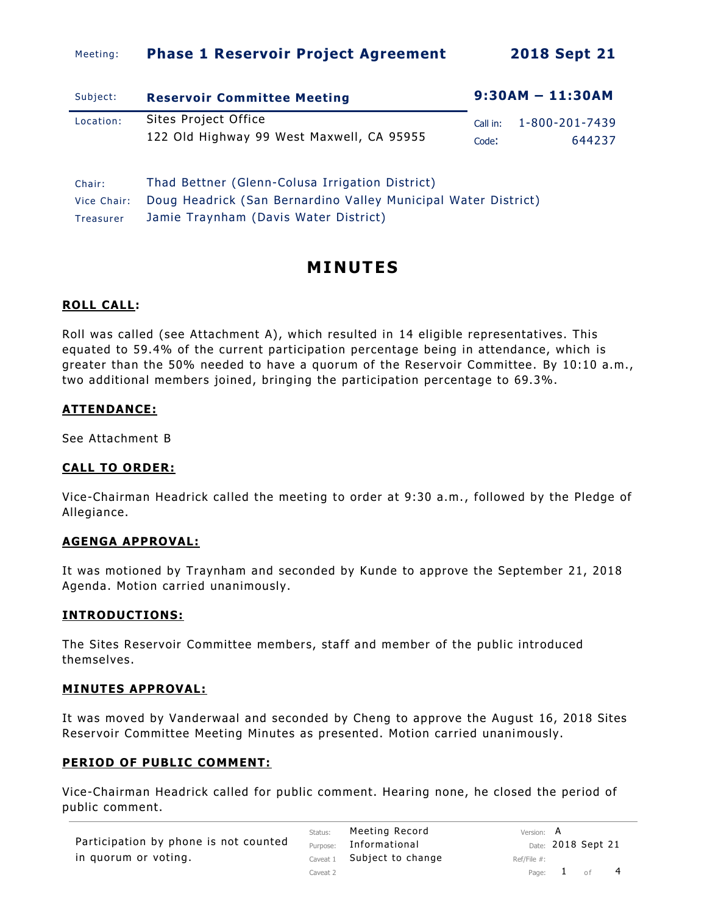### Meeting: **Phase 1 Reservoir Project Agreement 2018 Sept 21**

| Subject:    | <b>Reservoir Committee Meeting</b>                             | $9:30AM - 11:30AM$ |                |  |  |  |  |  |
|-------------|----------------------------------------------------------------|--------------------|----------------|--|--|--|--|--|
| Location:   | Sites Project Office                                           | Call in:           | 1-800-201-7439 |  |  |  |  |  |
|             | 122 Old Highway 99 West Maxwell, CA 95955                      | Code:              | 644237         |  |  |  |  |  |
| Chair:      | Thad Bettner (Glenn-Colusa Irrigation District)                |                    |                |  |  |  |  |  |
| Vice Chair: | Doug Headrick (San Bernardino Valley Municipal Water District) |                    |                |  |  |  |  |  |
| Treasurer   | Jamie Traynham (Davis Water District)                          |                    |                |  |  |  |  |  |

# **MI NUT ES**

### **ROLL CALL:**

Roll was called (see Attachment A), which resulted in 14 eligible representatives. This equated to 59.4% of the current participation percentage being in attendance, which is greater than the 50% needed to have a quorum of the Reservoir Committee. By 10:10 a.m., two additional members joined, bringing the participation percentage to 69.3%.

### **ATTENDANCE:**

See Attachment B

#### **CALL TO ORDER:**

Vice-Chairman Headrick cal led the meeting to order at 9:30 a.m., followed by the Pledge of Allegiance.

#### **AGENGA APPROVAL:**

It was motioned by Traynham and seconded by Kunde to approve the September 21, 2018 Agenda. Motion carried unanimously.

#### **INTRODUCTIONS:**

The Sites Reservoir Committee members, staff and member of the public introduced themselves.

#### **MINUTES APPROVAL:**

It was moved by Vanderwaal and seconded by Cheng to approve the August 16, 2018 Sites Reservoir Committee Meeting Minutes as presented. Motion carried unanimously.

#### **PERIOD OF PUBLIC COMMENT:**

Vice-Chairman Headrick called for public comment. Hearing none, he closed the period of public comment.

| Participation by phone is not counted |  |  |
|---------------------------------------|--|--|
| in quorum or voting.                  |  |  |

Status: Meeting Record Version: A Purpose: Informational Date: 2018 Sept 21 Caveat  $1$  Subject to change Ref/File #: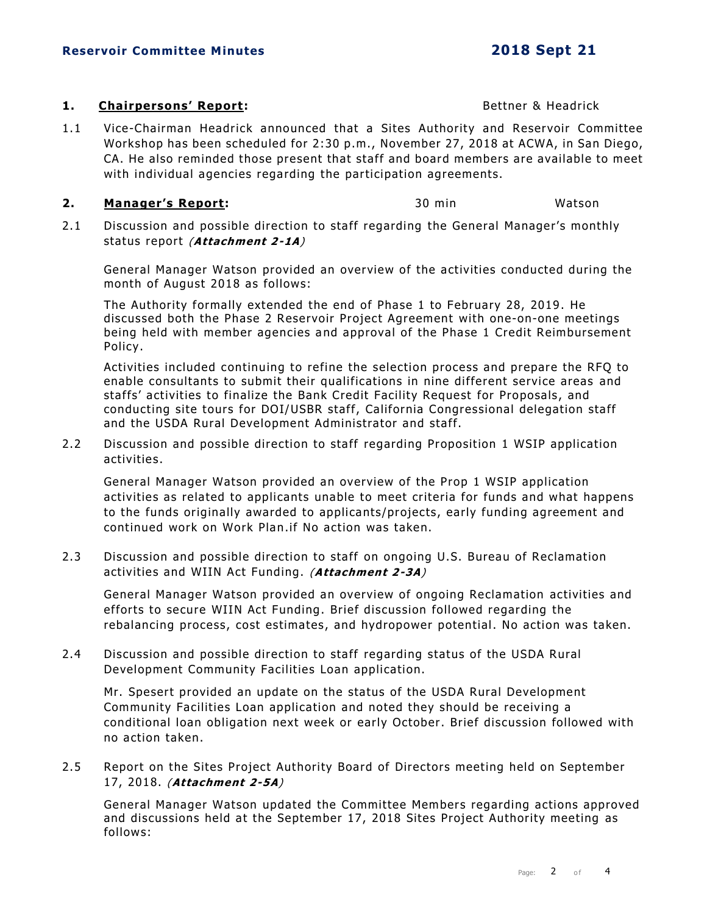#### **1. Chairpersons' Report: 1. Chairpersons' Report: 1. Bettner & Headrick**

1.1 Vice-Chairman Headrick announced that a Sites Authority and Reservoir Committee Workshop has been scheduled for 2:30 p.m., November 27, 2018 at ACWA, in San Diego, CA. He also reminded those present that staff and board members are available to meet with individual agencies regarding the participation agreements.

#### **2. Manager's Report:** 30 min Watson

2.1 Discussion and possible direction to staff regarding the General Manager's monthly status report (**Attachment 2-1A**)

General Manager Watson provided an overview of the activities conducted during the month of August 2018 as follows:

The Authority formally extended the end of Phase 1 to February 28, 2019. He discussed both the Phase 2 Reservoir Project Agreement with one-on-one meetings being held with member agencies and approval of the Phase 1 Credit Reimbursement Policy.

Activities included continuing to refine the selection process and prepare the RFQ to enable consultants to submit their qualifications in nine different service areas and staffs' activities to finalize the Bank Credit Facility Request for Proposals, and conducting site tours for DOI/USBR staff, California Congressional delegation staff and the USDA Rural Development Administrator and staff.

2.2 Discussion and possible direction to staff regarding Proposition 1 WSIP application activities .

General Manager Watson provided an overview of the Prop 1 WSIP application activities as related to applicants unable to meet criteria for funds and what happens to the funds originally awarded to applicants/projects, early funding agreement and continued work on Work Plan.if No action was taken.

2.3 Discussion and possible direction to staff on ongoing U.S. Bureau of Reclamation activities and WIIN Act Funding. (**Attachment 2-3A**)

General Manager Watson provided an overview of ongoing Reclamation activities and efforts to secure WIIN Act Funding. Brief discussion followed regarding the rebalancing process, cost estimates, and hydropower potential. No action was taken.

2.4 Discussion and possible direction to staff regarding status of the USDA Rural Development Community Facilities Loan application.

Mr. Spesert provided an update on the status of the USDA Rural Development Community Facilities Loan application and noted they should be receiving a conditional loan obligation next week or early October. Brief discussion followed with no action taken.

2.5 Report on the Sites Project Authority Board of Directors meeting held on September 17, 2018. (**Attachment 2-5A**)

General Manager Watson updated the Committee Members regarding actions approved and discussions held at the September 17, 2018 Sites Project Authority meeting as follows: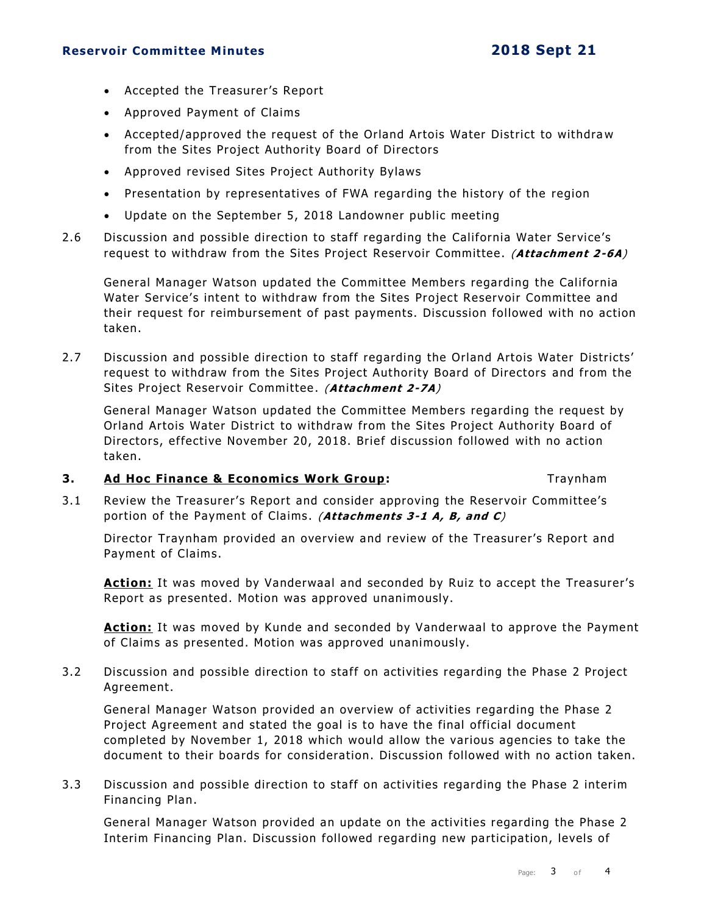#### **Reservoir Committee Minutes 2018 Sept 21**

- Accepted the Treasurer's Report
- Approved Payment of Claims
- Accepted/approved the request of the Orland Artois Water District to withdraw from the Sites Project Authority Board of Directors
- Approved revised Sites Project Authority Bylaws
- Presentation by representatives of FWA regarding the history of the region
- Update on the September 5, 2018 Landowner public meeting
- 2.6 Discussion and possible direction to staff regarding the California Water Service's request to withdraw from the Sites Project Reservoir Committee. (**Attachment 2-6A**)

General Manager Watson updated the Committee Members regarding the California Water Service's intent to withdraw from the Sites Project Reservoir Committee and their request for reimbursement of past payments. Discussion followed with no action taken.

2.7 Discussion and possible direction to staff regarding the Orland Artois Water Districts' request to withdraw from the Sites Project Authority Board of Directors and from the Sites Project Reservoir Committee . (**Attachment 2-7A**)

General Manager Watson updated the Committee Members regarding the request by Orland Artois Water District to withdraw from the Sites Project Authority Board of Directors, effective November 20, 2018. Brief discussion followed with no action taken.

#### **3. Ad Hoc Finance & Economics Work Group:** Traynham

3.1 Review the Treasurer's Report and consider approving the Reservoir Committee's portion of the Payment of Claims . (**Attachments 3-1 A, B, and C**)

Director Traynham provided an overview and review of the Treasurer's Report and Payment of Claims.

**Action:** It was moved by Vanderwaal and seconded by Ruiz to accept the Treasurer's Report as presented. Motion was approved unanimously.

Action: It was moved by Kunde and seconded by Vanderwaal to approve the Payment of Claims as presented. Motion was approved unanimously.

3.2 Discussion and possible direction to staff on activities regarding the Phase 2 Project Agreement.

General Manager Watson provided an overview of activities regarding the Phase 2 Project Agreement and stated the goal is to have the final official document completed by November 1, 2018 which would allow the various agencies to take the document to their boards for consideration. Discussion followed with no action taken.

3.3 Discussion and possible direction to staff on activities regarding the Phase 2 interim Financing Plan.

General Manager Watson provided an update on the activities regarding the Phase 2 Interim Financing Plan. Discussion followed regarding new participation, levels of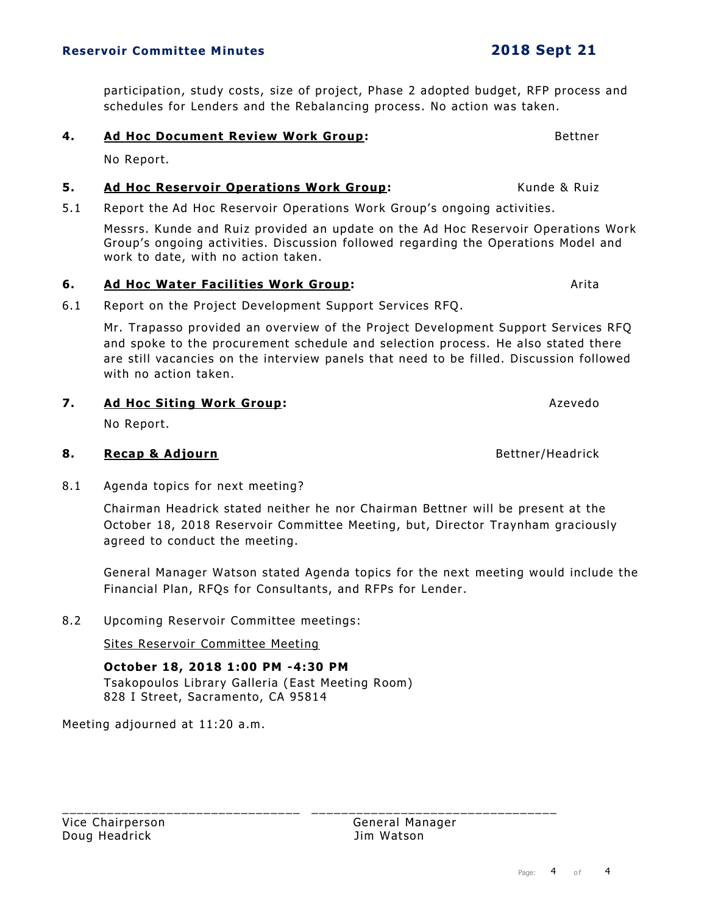participation, study costs, size of project, Phase 2 adopted budget, RFP process and schedules for Lenders and the Rebalancing process. No action was taken.

#### **4. Ad Hoc Document Review Work Group:** The Manual Mettner Rettner

No Report.

#### **5.** Ad Hoc Reservoir Operations Work Group: Kunde & Ruiz

5.1 Report the Ad Hoc Reservoir Operations Work Group's ongoing activities.

Messrs. Kunde and Ruiz provided an update on the Ad Hoc Reservoir Operations Work Group's ongoing activities. Discussion followed regarding the Operations Model and work to date, with no action taken.

#### **6.** Ad Hoc Water Facilities Work Group: The Contract Arital Arital

6.1 Report on the Project Development Support Services RFQ.

Mr. Trapasso provided an overview of the Project Development Support Services RFQ and spoke to the procurement schedule and selection process. He also stated there are still vacancies on the interview panels that need to be filled. Discussion followed with no action taken.

#### **7. Ad Hoc Siting Work Group:** And **Azevedo** and Azevedo

No Report.

#### **8. Recap & Adjourn Bettner/Headrick Bettner/Headrick**

8.1 Agenda topics for next meeting?

Chairman Headrick stated neither he nor Chairman Bettner will be present at the October 18, 2018 Reservoir Committee Meeting, but, Director Traynham graciously agreed to conduct the meeting.

General Manager Watson stated Agenda topics for the next meeting would include the Financial Plan, RFQs for Consultants, and RFPs for Lender.

8.2 Upcoming Reservoir Committee meetings:

Sites Reservoir Committee Meeting

**October 18, 2018 1:00 PM -4:30 PM** Tsakopoulos Library Galleria (East Meeting Room) 828 I Street, Sacramento, CA 95814

Meeting adjourned at 11:20 a.m.

Vice Chairperson **General Manager** General Manager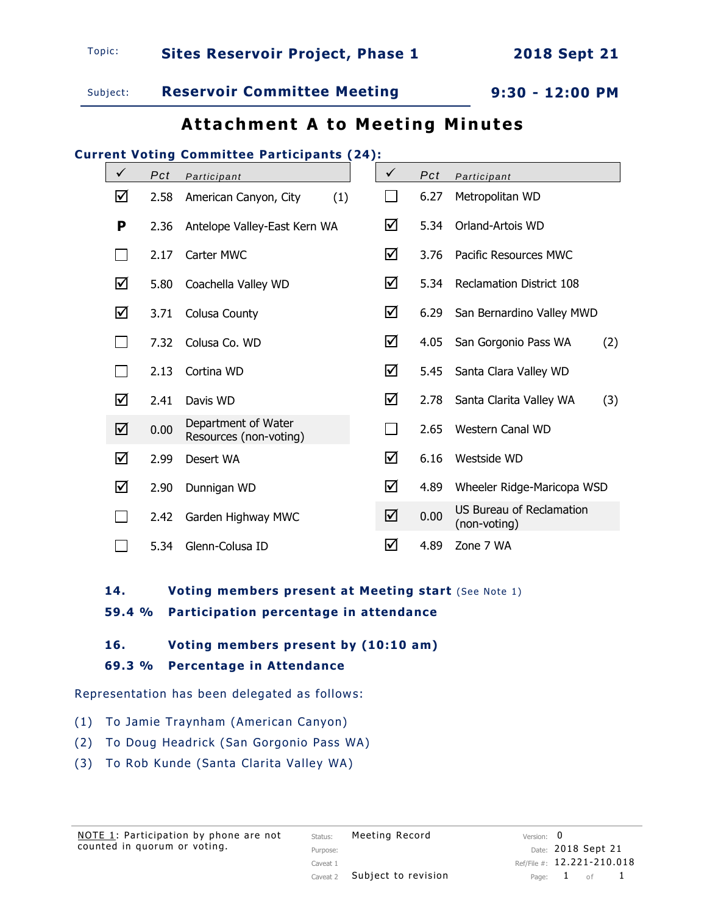Subject: **Reservoir Committee Meeting 9:30 - 12:00 PM**

# **Attachment A to Meeting Minutes**

## **Current Voting Committee Participants (24):**

| $\checkmark$ | Pct  | Participant                                   | $\checkmark$ | Pct  | Participant                                     |     |
|--------------|------|-----------------------------------------------|--------------|------|-------------------------------------------------|-----|
| ☑            | 2.58 | (1)<br>American Canyon, City                  |              | 6.27 | Metropolitan WD                                 |     |
| P            | 2.36 | Antelope Valley-East Kern WA                  | ☑            | 5.34 | Orland-Artois WD                                |     |
|              | 2.17 | Carter MWC                                    | ☑            | 3.76 | Pacific Resources MWC                           |     |
| ☑            | 5.80 | Coachella Valley WD                           | ☑            | 5.34 | <b>Reclamation District 108</b>                 |     |
| ☑            | 3.71 | Colusa County                                 | ☑            | 6.29 | San Bernardino Valley MWD                       |     |
|              | 7.32 | Colusa Co. WD                                 | ☑            | 4.05 | San Gorgonio Pass WA                            | (2) |
|              | 2.13 | Cortina WD                                    | ☑            | 5.45 | Santa Clara Valley WD                           |     |
| ☑            | 2.41 | Davis WD                                      | ☑            | 2.78 | Santa Clarita Valley WA                         | (3) |
| ☑            | 0.00 | Department of Water<br>Resources (non-voting) | $\Box$       | 2.65 | <b>Western Canal WD</b>                         |     |
| ☑            | 2.99 | Desert WA                                     | ☑            | 6.16 | Westside WD                                     |     |
| ☑            | 2.90 | Dunnigan WD                                   | ☑            | 4.89 | Wheeler Ridge-Maricopa WSD                      |     |
|              | 2.42 | Garden Highway MWC                            | ☑            | 0.00 | <b>US Bureau of Reclamation</b><br>(non-voting) |     |
|              | 5.34 | Glenn-Colusa ID                               | ☑            | 4.89 | Zone 7 WA                                       |     |

**14. Voting members present at Meeting start** (See Note 1)

**59.4 % Participation percentage in attendance**

#### **16. Voting members present by (10:10 am)**

### **69.3 % Percentage in Attendance**

Representation has been delegated as follows:

- (1) To Jamie Traynham (American Canyon)
- (2) To Doug Headrick (San Gorgonio Pass WA)
- (3) To Rob Kunde (Santa Clarita Valley WA)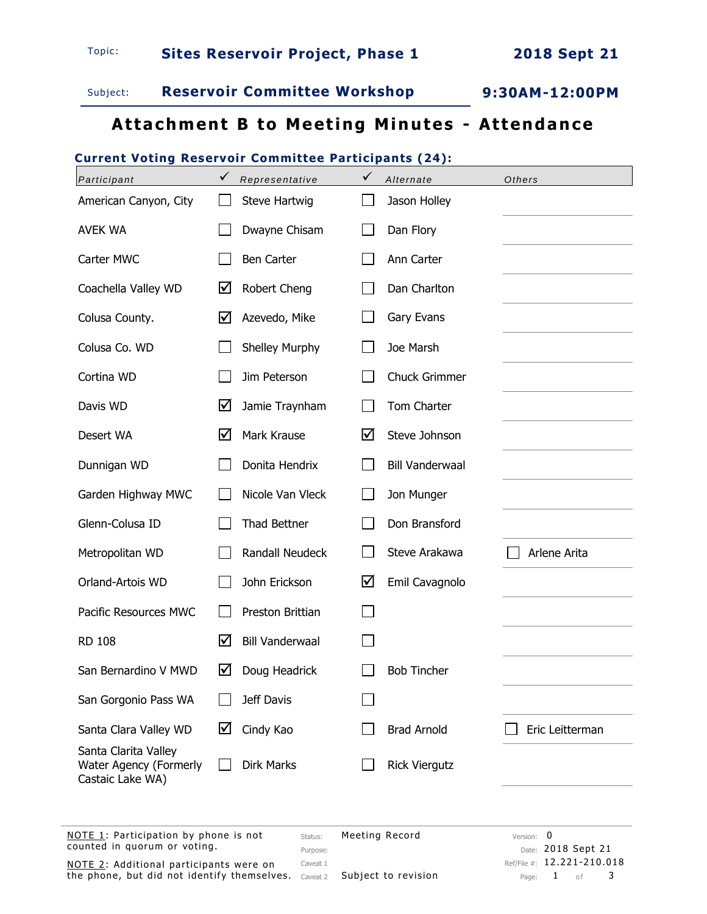

# Subject: **Reservoir Committee Workshop 9:30AM-12:00PM**

# **Attachment B to Meeting Minutes - Attendance**

## **Current Voting Reservoir Committee Participants (24):**

| Participant                                                           | $\checkmark$<br>Representative | ✓<br>Alternate         | Others                              |
|-----------------------------------------------------------------------|--------------------------------|------------------------|-------------------------------------|
| American Canyon, City                                                 | Steve Hartwig                  | Jason Holley           |                                     |
| <b>AVEK WA</b>                                                        | Dwayne Chisam                  | Dan Flory              |                                     |
| Carter MWC                                                            | <b>Ben Carter</b>              | Ann Carter             |                                     |
| Coachella Valley WD                                                   | ☑<br>Robert Cheng              | Dan Charlton           |                                     |
| Colusa County.                                                        | ☑<br>Azevedo, Mike             | Gary Evans             |                                     |
| Colusa Co. WD                                                         | Shelley Murphy                 | Joe Marsh              |                                     |
| Cortina WD                                                            | Jim Peterson                   | <b>Chuck Grimmer</b>   |                                     |
| Davis WD                                                              | ☑<br>Jamie Traynham            | Tom Charter            |                                     |
| Desert WA                                                             | ☑<br>Mark Krause               | ☑<br>Steve Johnson     |                                     |
| Dunnigan WD                                                           | Donita Hendrix                 | <b>Bill Vanderwaal</b> |                                     |
| Garden Highway MWC                                                    | Nicole Van Vleck               | Jon Munger             |                                     |
| Glenn-Colusa ID                                                       | Thad Bettner                   | Don Bransford          |                                     |
| Metropolitan WD                                                       | <b>Randall Neudeck</b>         | Steve Arakawa          | Arlene Arita                        |
| Orland-Artois WD                                                      | John Erickson                  | ☑<br>Emil Cavagnolo    |                                     |
| Pacific Resources MWC                                                 | Preston Brittian               | $\Box$                 |                                     |
| <b>RD 108</b>                                                         | ☑<br><b>Bill Vanderwaal</b>    |                        |                                     |
| San Bernardino V MWD                                                  | ☑<br>Doug Headrick             | <b>Bob Tincher</b>     |                                     |
| San Gorgonio Pass WA                                                  | Jeff Davis                     |                        |                                     |
| Santa Clara Valley WD                                                 | ☑<br>Cindy Kao                 | <b>Brad Arnold</b>     | Eric Leitterman                     |
| Santa Clarita Valley<br>Water Agency (Formerly<br>Castaic Lake WA)    | <b>Dirk Marks</b>              | <b>Rick Viergutz</b>   |                                     |
| NOTE 1: Participation by phone is not<br>counted in quorum or voting. | Status:<br>Purpose:            | Meeting Record         | 0<br>Version:<br>Date: 2018 Sept 21 |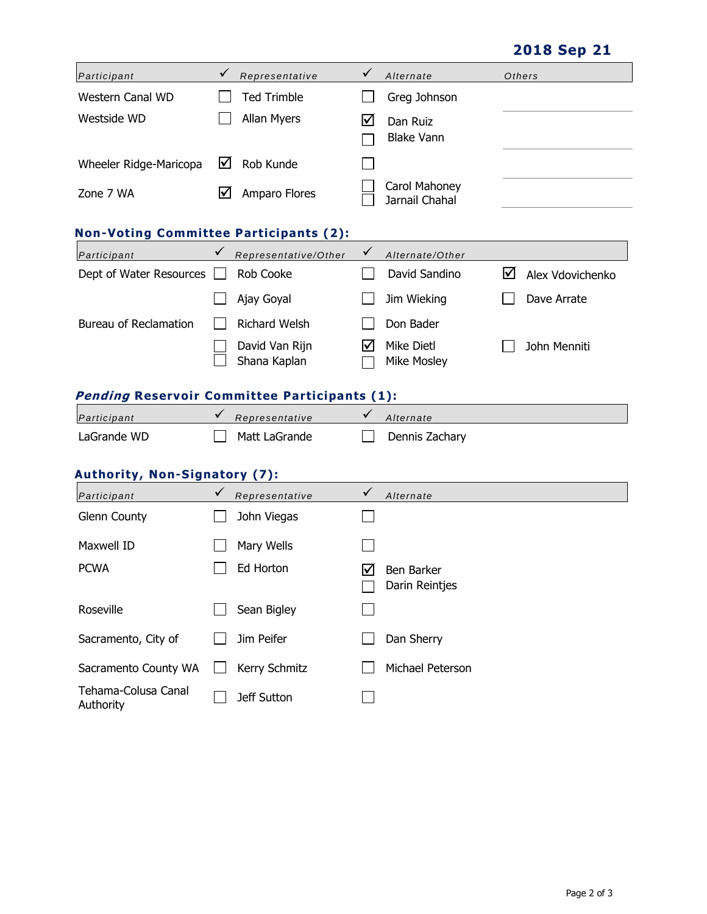**2018 Sep 21**

| Participant            |     | Representative     | Alternate                       | Others |
|------------------------|-----|--------------------|---------------------------------|--------|
| Western Canal WD       |     | <b>Ted Trimble</b> | Greg Johnson                    |        |
| Westside WD            |     | Allan Myers        | Dan Ruiz<br><b>Blake Vann</b>   |        |
| Wheeler Ridge-Maricopa | M   | Rob Kunde          |                                 |        |
| Zone 7 WA              | IV١ | Amparo Flores      | Carol Mahoney<br>Jarnail Chahal |        |

### **Non-Voting Committee Participants (2):**

| Participant             | Representative/Other           | Alternate/Other                  |                  |
|-------------------------|--------------------------------|----------------------------------|------------------|
| Dept of Water Resources | Rob Cooke                      | David Sandino                    | Alex Vdovichenko |
|                         | Ajay Goyal                     | Jim Wieking                      | Dave Arrate      |
| Bureau of Reclamation   | <b>Richard Welsh</b>           | Don Bader                        |                  |
|                         | David Van Rijn<br>Shana Kaplan | Mike Dietl<br><b>Mike Mosley</b> | John Menniti     |

# **Pending Reservoir Committee Participants (1):**

| Participant | Representative | Alternate      |
|-------------|----------------|----------------|
| LaGrande WD | Matt LaGrande  | Dennis Zachary |

### **Authority, Non-Signatory (7):**

| Participant                      | $\checkmark$ | Representative     | $\checkmark$ | Alternate                    |
|----------------------------------|--------------|--------------------|--------------|------------------------------|
| <b>Glenn County</b>              |              | John Viegas        |              |                              |
| Maxwell ID                       |              | Mary Wells         |              |                              |
| <b>PCWA</b>                      |              | Ed Horton          | M            | Ben Barker<br>Darin Reintjes |
| Roseville                        |              | Sean Bigley        |              |                              |
| Sacramento, City of              |              | Jim Peifer         |              | Dan Sherry                   |
| Sacramento County WA             |              | Kerry Schmitz      |              | Michael Peterson             |
| Tehama-Colusa Canal<br>Authority |              | <b>Jeff Sutton</b> |              |                              |